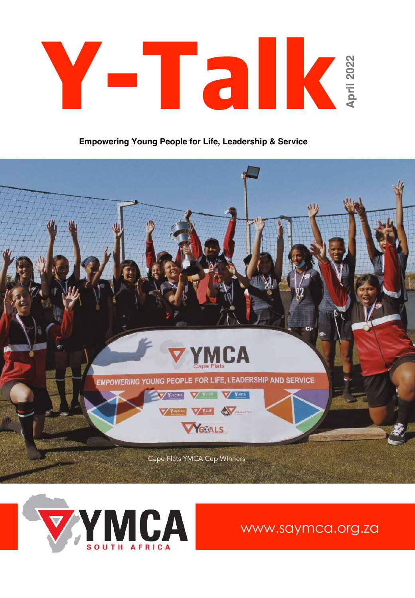

**Empowering Young People for Life, Leadership & Service**





www.saymca.org.za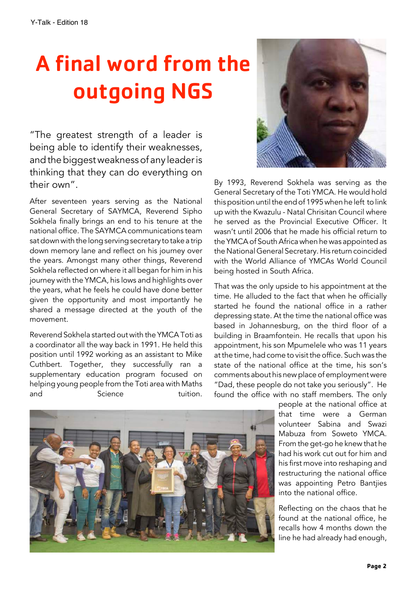## A final word from the outgoing NGS

"The greatest strength of a leader is being able to identify their weaknesses, and the biggest weakness of any leader is thinking that they can do everything on their own".

After seventeen years serving as the National General Secretary of SAYMCA, Reverend Sipho Sokhela finally brings an end to his tenure at the national office. The SAYMCA communications team sat down with the long serving secretary to take a trip down memory lane and reflect on his journey over the years. Amongst many other things, Reverend Sokhela reflected on where it all began for him in his journey with the YMCA, his lows and highlights over the years, what he feels he could have done better given the opportunity and most importantly he shared a message directed at the youth of the movement.

Reverend Sokhela started out with the YMCAToti as a coordinator all the way back in 1991. He held this position until 1992 working as an assistant to Mike Cuthbert. Together, they successfully ran a supplementary education program focused on helping young people from the Toti area with Maths and Science tuition.



By 1993, Reverend Sokhela was serving as the General Secretary of the Toti YMCA. He would hold this position until the end of 1995 when he left to link up with the Kwazulu - Natal Chrisitan Council where he served as the Provincial Executive Officer. It wasn't until 2006 that he made his official return to the YMCAof SouthAfrica when he was appointed as the National General Secretary. His return coincided with the World Alliance of YMCAs World Council being hosted in South Africa.

That was the only upside to his appointment at the time. He alluded to the fact that when he officially started he found the national office in a rather depressing state. At the time the national office was based in Johannesburg, on the third floor of a building in Braamfontein. He recalls that upon his appointment, his son Mpumelele who was 11 years at the time, had come to visit the office. Such was the state of the national office at the time, his son's comments about his new place of employment were "Dad, these people do not take you seriously". He found the office with no staff members. The only

> people at the national office at that time were a German volunteer Sabina and Swazi Mabuza from Soweto YMCA. From the get-go he knew that he had his work cut out for him and his first move into reshaping and restructuring the national office was appointing Petro Bantjies into the national office.

> Reflecting on the chaos that he found at the national office, he recalls how 4 months down the line he had already had enough,

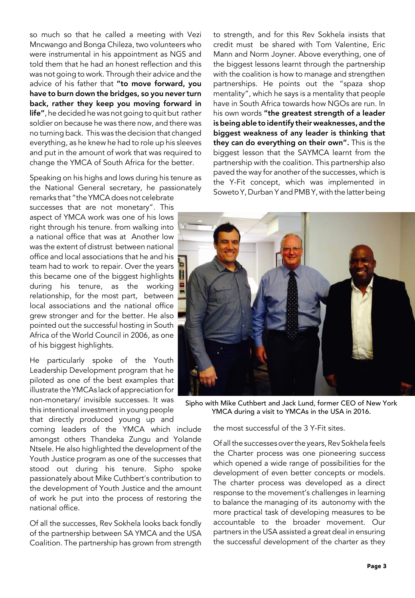so much so that he called a meeting with Vezi Mncwango and Bonga Chileza, two volunteers who were instrumental in his appointment as NGS and told them that he had an honest reflection and this was not going to work. Through their advice and the advice of his father that "to move forward, you have to burn down the bridges, so you never turn back, rather they keep you moving forward in life", he decided he was not going to quit but rather soldier on because he was there now, and there was no turning back. This was the decision that changed everything, as he knew he had to role up his sleeves and put in the amount of work that was required to change the YMCA of South Africa for the better.

Speaking on his highs and lows during his tenure as the National General secretary, he passionately

remarks that "the YMCAdoes not celebrate successes that are not monetary". This aspect of YMCA work was one of his lows right through his tenure. from walking into a national office that was at Another low was the extent of distrust between national office and local associations that he and his team had to work to repair. Over the years this became one of the biggest highlights during his tenure, as the working relationship, for the most part, between local associations and the national office grew stronger and for the better. He also pointed out the successful hosting in South Africa of the World Council in 2006, as one of his biggest highlights.

He particularly spoke of the Youth Leadership Development program that he piloted as one of the best examples that illustrate the YMCAs lack of appreciation for non-monetary/ invisible successes. It was this intentional investment in young people that directly produced young up and

coming leaders of the YMCA which include amongst others Thandeka Zungu and Yolande Ntsele. He also highlighted the development of the Youth Justice program as one of the successes that stood out during his tenure. Sipho spoke passionately about Mike Cuthbert's contribution to the development of Youth Justice and the amount of work he put into the process of restoring the national office.

Of all the successes, Rev Sokhela looks back fondly of the partnership between SA YMCA and the USA Coalition. The partnership has grown from strength

to strength, and for this Rev Sokhela insists that credit must be shared with Tom Valentine, Eric Mann and Norm Joyner. Above everything, one of the biggest lessons learnt through the partnership with the coalition is how to manage and strengthen partnerships. He points out the "spaza shop mentality", which he says is a mentality that people have in South Africa towards how NGOs are run. In his own words "the greatest strength of a leader is being able to identify their weaknesses, and the biggest weakness of any leader is thinking that they can do everything on their own". This is the biggest lesson that the SAYMCA learnt from the partnership with the coalition. This partnership also paved the way for another of the successes, which is the Y-Fit concept, which was implemented in Soweto Y, Durban Y and PMB Y, with the latter being



Sipho with Mike Cuthbert and Jack Lund, former CEO of New York YMCA during a visit to YMCAs in the USA in 2016.

the most successful of the 3 Y-Fit sites.

Of all the successes over the years, Rev Sokhela feels the Charter process was one pioneering success which opened a wide range of possibilities for the development of even better concepts or models. The charter process was developed as a direct response to the movement's challenges in learning to balance the managing of its autonomy with the more practical task of developing measures to be accountable to the broader movement. Our partners in the USA assisted a great deal in ensuring the successful development of the charter as they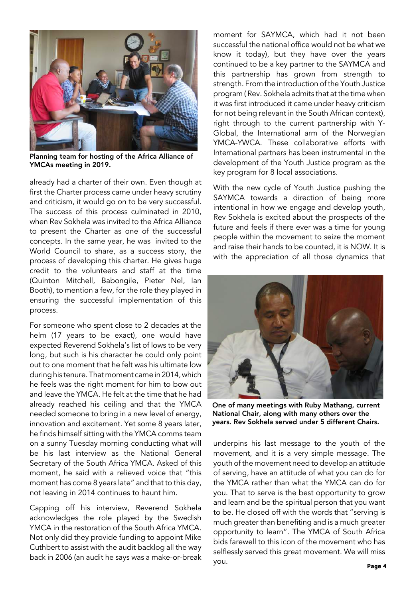

Planning team for hosting of the Africa Alliance of YMCAs meeting in 2019.

already had a charter of their own. Even though at first the Charter process came under heavy scrutiny and criticism, it would go on to be very successful. The success of this process culminated in 2010, when Rev Sokhela was invited to the Africa Alliance to present the Charter as one of the successful concepts. In the same year, he was invited to the World Council to share, as a success story, the process of developing this charter. He gives huge credit to the volunteers and staff at the time (Quinton Mitchell, Babongile, Pieter Nel, Ian Booth), to mention a few, for the role they played in ensuring the successful implementation of this process.

For someone who spent close to 2 decades at the helm (17 years to be exact), one would have expected Reverend Sokhela's list of lows to be very long, but such is his character he could only point out to one moment that he felt was his ultimate low duringhis tenure.That moment came in 2014,which he feels was the right moment for him to bow out and leave the YMCA. He felt at the time that he had already reached his ceiling and that the YMCA needed someone to bring in a new level of energy, innovation and excitement. Yet some 8 years later, he finds himself sitting with the YMCA comms team on a sunny Tuesday morning conducting what will be his last interview as the National General Secretary of the South Africa YMCA. Asked of this moment, he said with a relieved voice that "this moment has come 8 years late" and that to this day, not leaving in 2014 continues to haunt him.

Capping off his interview, Reverend Sokhela acknowledges the role played by the Swedish YMCA in the restoration of the South Africa YMCA. Not only did they provide funding to appoint Mike Cuthbert to assist with the audit backlog all the way back in 2006 (an audit he says was a make-or-break moment for SAYMCA, which had it not been successful the national office would not be what we know it today), but they have over the years continued to be a key partner to the SAYMCA and this partnership has grown from strength to strength. From the introduction of the Youth Justice program ( Rev. Sokhela admits that at the time when it was first introduced it came under heavy criticism for not being relevant in the South African context), right through to the current partnership with Y-Global, the International arm of the Norwegian YMCA-YWCA. These collaborative efforts with International partners has been instrumental in the development of the Youth Justice program as the key program for 8 local associations.

With the new cycle of Youth Justice pushing the SAYMCA towards a direction of being more intentional in how we engage and develop youth, Rev Sokhela is excited about the prospects of the future and feels if there ever was a time for young people within the movement to seize the moment and raise their hands to be counted, it is NOW. It is with the appreciation of all those dynamics that



One of many meetings with Ruby Mathang, current National Chair, along with many others over the years. Rev Sokhela served under 5 different Chairs.

underpins his last message to the youth of the movement, and it is a very simple message. The youth of the movement need to develop an attitude of serving, have an attitude of what you can do for the YMCA rather than what the YMCA can do for you. That to serve is the best opportunity to grow and learn and be the spiritual person that you want to be. He closed off with the words that "serving is much greater than benefiting and is a much greater opportunity to learn". The YMCA of South Africa bids farewell to this icon of the movement who has selflessly served this great movement. We will miss you. **Page <sup>4</sup>**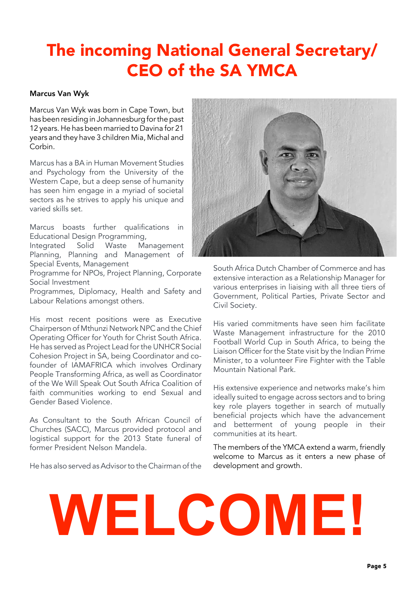#### The incoming National General Secretary/ CEO of the SA YMCA

#### Marcus Van Wyk

Marcus Van Wyk was born in Cape Town, but has been residing in Johannesburg for the past 12 years. He has been married to Davina for 21 years and they have 3 children Mia, Michal and Corbin.

Marcus has a BA in Human Movement Studies and Psychology from the University of the Western Cape, but a deep sense of humanity has seen him engage in a myriad of societal sectors as he strives to apply his unique and varied skills set.

Marcus boasts further qualifications in Educational Design Programming,

Integrated Solid Waste Management Planning, Planning and Management of Special Events, Management

Programme for NPOs, Project Planning, Corporate Social Investment

Programmes, Diplomacy, Health and Safety and Labour Relations amongst others.

His most recent positions were as Executive Chairperson of Mthunzi Network NPC and the Chief Operating Officer for Youth for Christ South Africa. He has served as Project Lead for the UNHCR Social Cohesion Project in SA, being Coordinator and cofounder of IAMAFRICA which involves Ordinary People Transforming Africa, as well as Coordinator of the We Will Speak Out South Africa Coalition of faith communities working to end Sexual and Gender Based Violence.

As Consultant to the South African Council of Churches (SACC), Marcus provided protocol and logistical support for the 2013 State funeral of former President Nelson Mandela.

He has also served as Advisor to the Chairman of the



South Africa Dutch Chamber of Commerce and has extensive interaction as a Relationship Manager for various enterprises in liaising with all three tiers of Government, Political Parties, Private Sector and Civil Society.

His varied commitments have seen him facilitate Waste Management infrastructure for the 2010 Football World Cup in South Africa, to being the Liaison Officer for the State visit by the Indian Prime Minister, to a volunteer Fire Fighter with the Table Mountain National Park.

His extensive experience and networks make's him ideally suited to engage across sectors and to bring key role players together in search of mutually beneficial projects which have the advancement and betterment of young people in their communities at its heart.

The members of the YMCA extend a warm, friendly welcome to Marcus as it enters a new phase of development and growth.

# **WELCOME!**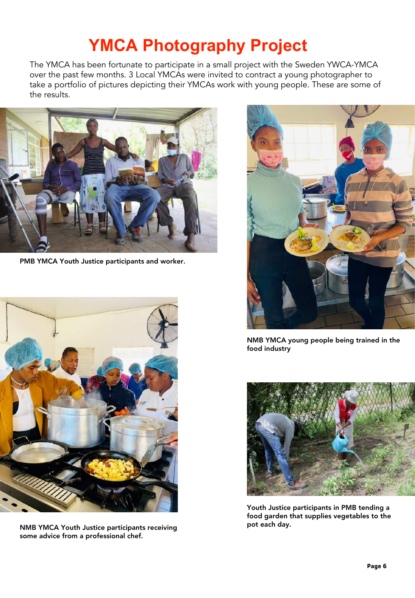## **YMCA Photography Project**

The YMCA has been fortunate to participate in a small project with the Sweden YWCA-YMCA over the past few months. 3 Local YMCAs were invited to contract a young photographer to take a portfolio of pictures depicting their YMCAs work with young people. These are some of the results.



PMB YMCA Youth Justice participants and worker.



NMB YMCA Youth Justice participants receiving some advice from a professional chef.



NMB YMCA young people being trained in the food industry



Youth Justice participants in PMB tending a food garden that supplies vegetables to the pot each day.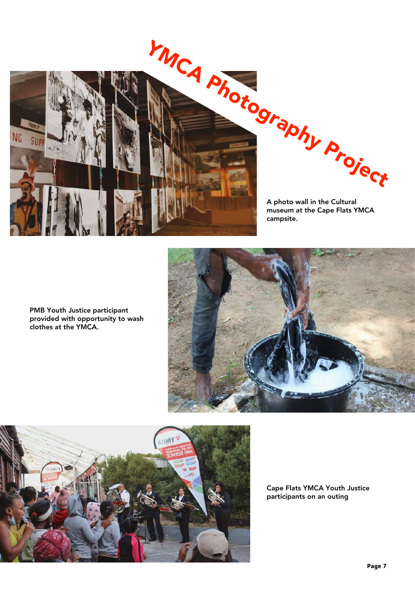

A photo wall in the Cultural museum at the Cape Flats YMCA

PMB Youth Justice participant provided with opportunity to wash clothes at the YMCA.





Cape Flats YMCA Youth Justice participants on an outing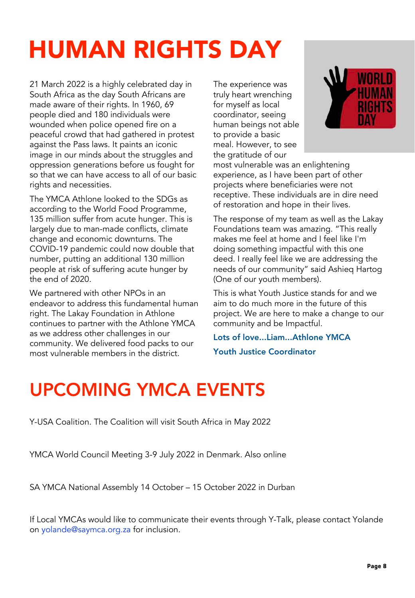## HUMAN RIGHTS DAY

21 March 2022 is a highly celebrated day in South Africa as the day South Africans are made aware of their rights. In 1960, 69 people died and 180 individuals were wounded when police opened fire on a peaceful crowd that had gathered in protest against the Pass laws. It paints an iconic image in our minds about the struggles and oppression generations before us fought for so that we can have access to all of our basic rights and necessities.

The YMCA Athlone looked to the SDGs as according to the World Food Programme, 135 million suffer from acute hunger. This is largely due to man-made conflicts, climate change and economic downturns. The COVID-19 pandemic could now double that number, putting an additional 130 million people at risk of suffering acute hunger by the end of 2020.

We partnered with other NPOs in an endeavor to address this fundamental human right. The Lakay Foundation in Athlone continues to partner with the Athlone YMCA as we address other challenges in our community. We delivered food packs to our most vulnerable members in the district.

The experience was truly heart wrenching for myself as local coordinator, seeing human beings not able to provide a basic meal. However, to see the gratitude of our



most vulnerable was an enlightening experience, as I have been part of other projects where beneficiaries were not receptive. These individuals are in dire need of restoration and hope in their lives.

The response of my team as well as the Lakay Foundations team was amazing. "This really makes me feel at home and I feel like I'm doing something impactful with this one deed. I really feel like we are addressing the needs of our community" said Ashieq Hartog (One of our youth members).

This is what Youth Justice stands for and we aim to do much more in the future of this project. We are here to make a change to our community and be Impactful.

Lots of love...Liam...Athlone YMCA

Youth Justice Coordinator

## UPCOMING YMCA EVENTS

Y-USA Coalition. The Coalition will visit South Africa in May 2022

YMCA World Council Meeting 3-9 July 2022 in Denmark. Also online

SA YMCA National Assembly 14 October – 15 October 2022 in Durban

If Local YMCAs would like to communicate their events through Y-Talk, please contact Yolande on yolande@saymca.org.za for inclusion.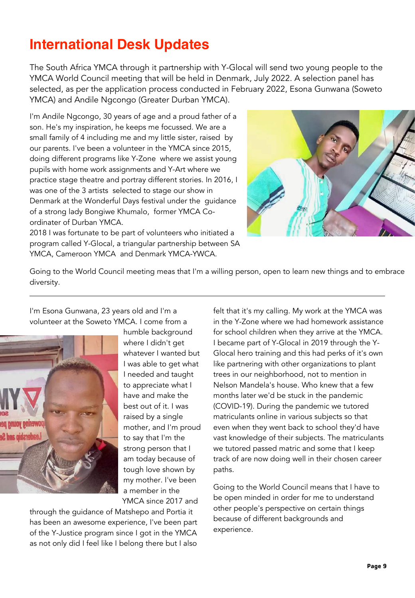#### **International Desk Updates**

The South Africa YMCA through it partnership with Y-Glocal will send two young people to the YMCA World Council meeting that will be held in Denmark, July 2022. A selection panel has selected, as per the application process conducted in February 2022, Esona Gunwana (Soweto YMCA) and Andile Ngcongo (Greater Durban YMCA).

I'm Andile Ngcongo, 30 years of age and a proud father of a son. He's my inspiration, he keeps me focussed. We are a small family of 4 including me and my little sister, raised by our parents. I've been a volunteer in the YMCA since 2015, doing different programs like Y-Zone where we assist young pupils with home work assignments and Y-Art where we practice stage theatre and portray different stories. In 2016, I was one of the 3 artists selected to stage our show in Denmark at the Wonderful Days festival under the guidance of a strong lady Bongiwe Khumalo, former YMCA Coordinater of Durban YMCA.



2018 I was fortunate to be part of volunteers who initiated a program called Y-Glocal, a triangular partnership between SA YMCA, Cameroon YMCA and Denmark YMCA-YWCA.

Going to the World Council meeting meas that I'm a willing person, open to learn new things and to embrace diversity.

I'm Esona Gunwana, 23 years old and I'm a volunteer at the Soweto YMCA. I come from a



humble background where I didn't get whatever I wanted but I was able to get what I needed and taught to appreciate what I have and make the best out of it. I was raised by a single mother, and I'm proud to say that I'm the strong person that I am today because of tough love shown by my mother. I've been a member in the YMCA since 2017 and

through the guidance of Matshepo and Portia it has been an awesome experience, I've been part of the Y-Justice program since I got in the YMCA as not only did I feel like I belong there but I also

felt that it's my calling. My work at the YMCA was in the Y-Zone where we had homework assistance for school children when they arrive at the YMCA. I became part of Y-Glocal in 2019 through the Y-Glocal hero training and this had perks of it's own like partnering with other organizations to plant trees in our neighborhood, not to mention in Nelson Mandela's house. Who knew that a few months later we'd be stuck in the pandemic (COVID-19). During the pandemic we tutored matriculants online in various subjects so that even when they went back to school they'd have vast knowledge of their subjects. The matriculants we tutored passed matric and some that I keep track of are now doing well in their chosen career paths.

Going to the World Council means that I have to be open minded in order for me to understand other people's perspective on certain things because of different backgrounds and experience.